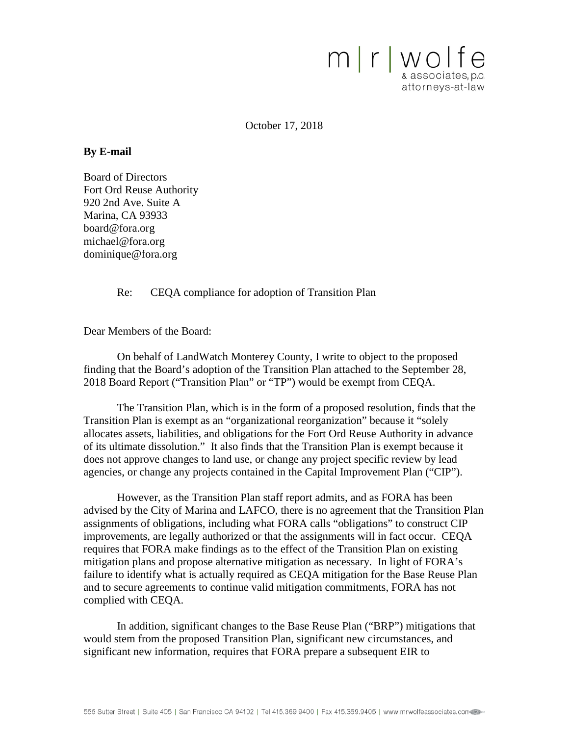

October 17, 2018

#### **By E-mail**

Board of Directors Fort Ord Reuse Authority 920 2nd Ave. Suite A Marina, CA 93933 board@fora.org michael@fora.org dominique@fora.org

Re: CEQA compliance for adoption of Transition Plan

Dear Members of the Board:

On behalf of LandWatch Monterey County, I write to object to the proposed finding that the Board's adoption of the Transition Plan attached to the September 28, 2018 Board Report ("Transition Plan" or "TP") would be exempt from CEQA.

The Transition Plan, which is in the form of a proposed resolution, finds that the Transition Plan is exempt as an "organizational reorganization" because it "solely allocates assets, liabilities, and obligations for the Fort Ord Reuse Authority in advance of its ultimate dissolution." It also finds that the Transition Plan is exempt because it does not approve changes to land use, or change any project specific review by lead agencies, or change any projects contained in the Capital Improvement Plan ("CIP").

However, as the Transition Plan staff report admits, and as FORA has been advised by the City of Marina and LAFCO, there is no agreement that the Transition Plan assignments of obligations, including what FORA calls "obligations" to construct CIP improvements, are legally authorized or that the assignments will in fact occur. CEQA requires that FORA make findings as to the effect of the Transition Plan on existing mitigation plans and propose alternative mitigation as necessary. In light of FORA's failure to identify what is actually required as CEQA mitigation for the Base Reuse Plan and to secure agreements to continue valid mitigation commitments, FORA has not complied with CEQA.

In addition, significant changes to the Base Reuse Plan ("BRP") mitigations that would stem from the proposed Transition Plan, significant new circumstances, and significant new information, requires that FORA prepare a subsequent EIR to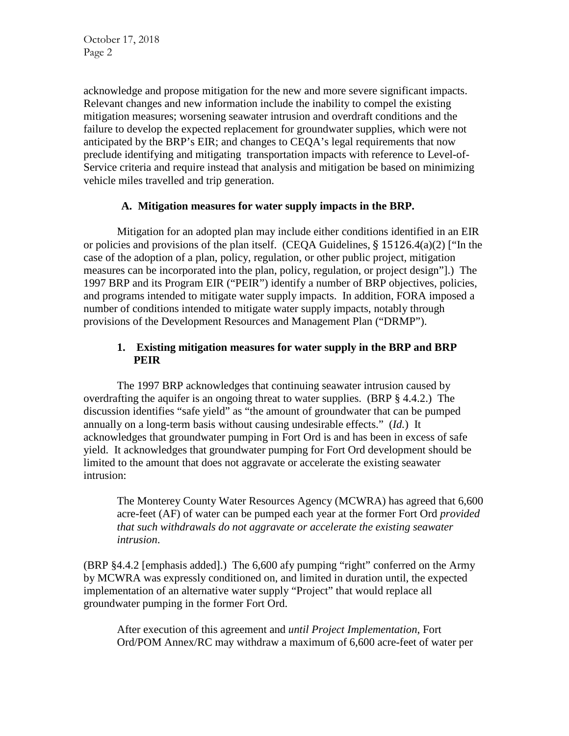acknowledge and propose mitigation for the new and more severe significant impacts. Relevant changes and new information include the inability to compel the existing mitigation measures; worsening seawater intrusion and overdraft conditions and the failure to develop the expected replacement for groundwater supplies, which were not anticipated by the BRP's EIR; and changes to CEQA's legal requirements that now preclude identifying and mitigating transportation impacts with reference to Level-of-Service criteria and require instead that analysis and mitigation be based on minimizing vehicle miles travelled and trip generation.

#### **A. Mitigation measures for water supply impacts in the BRP.**

Mitigation for an adopted plan may include either conditions identified in an EIR or policies and provisions of the plan itself. (CEQA Guidelines, § 15126.4(a)(2) ["In the case of the adoption of a plan, policy, regulation, or other public project, mitigation measures can be incorporated into the plan, policy, regulation, or project design"].) The 1997 BRP and its Program EIR ("PEIR") identify a number of BRP objectives, policies, and programs intended to mitigate water supply impacts. In addition, FORA imposed a number of conditions intended to mitigate water supply impacts, notably through provisions of the Development Resources and Management Plan ("DRMP").

#### **1. Existing mitigation measures for water supply in the BRP and BRP PEIR**

The 1997 BRP acknowledges that continuing seawater intrusion caused by overdrafting the aquifer is an ongoing threat to water supplies. (BRP § 4.4.2.) The discussion identifies "safe yield" as "the amount of groundwater that can be pumped annually on a long-term basis without causing undesirable effects." (*Id.*) It acknowledges that groundwater pumping in Fort Ord is and has been in excess of safe yield. It acknowledges that groundwater pumping for Fort Ord development should be limited to the amount that does not aggravate or accelerate the existing seawater intrusion:

The Monterey County Water Resources Agency (MCWRA) has agreed that 6,600 acre-feet (AF) of water can be pumped each year at the former Fort Ord *provided that such withdrawals do not aggravate or accelerate the existing seawater intrusion*.

(BRP §4.4.2 [emphasis added].) The 6,600 afy pumping "right" conferred on the Army by MCWRA was expressly conditioned on, and limited in duration until, the expected implementation of an alternative water supply "Project" that would replace all groundwater pumping in the former Fort Ord.

After execution of this agreement and *until Project Implementation*, Fort Ord/POM Annex/RC may withdraw a maximum of 6,600 acre-feet of water per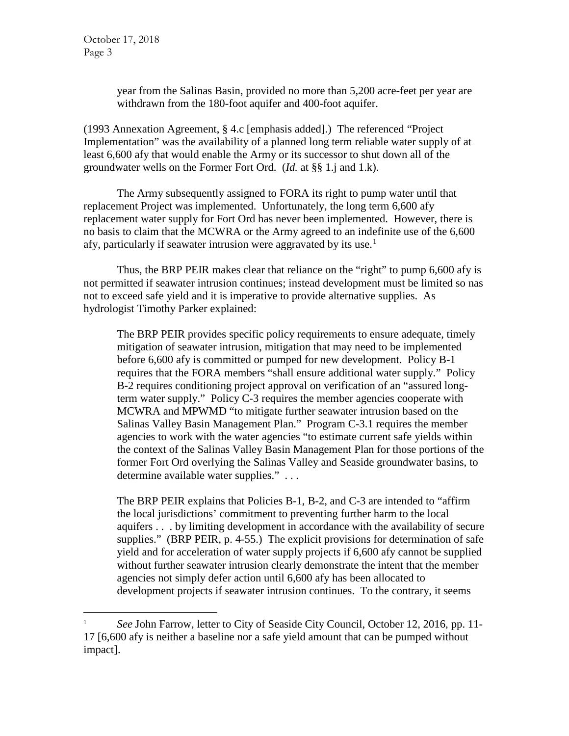year from the Salinas Basin, provided no more than 5,200 acre-feet per year are withdrawn from the 180-foot aquifer and 400-foot aquifer.

(1993 Annexation Agreement, § 4.c [emphasis added].) The referenced "Project Implementation" was the availability of a planned long term reliable water supply of at least 6,600 afy that would enable the Army or its successor to shut down all of the groundwater wells on the Former Fort Ord. (*Id.* at §§ 1.j and 1.k).

The Army subsequently assigned to FORA its right to pump water until that replacement Project was implemented. Unfortunately, the long term 6,600 afy replacement water supply for Fort Ord has never been implemented. However, there is no basis to claim that the MCWRA or the Army agreed to an indefinite use of the 6,600 afy, particularly if seawater intrusion were aggravated by its use.<sup>[1](#page-2-0)</sup>

Thus, the BRP PEIR makes clear that reliance on the "right" to pump 6,600 afy is not permitted if seawater intrusion continues; instead development must be limited so nas not to exceed safe yield and it is imperative to provide alternative supplies. As hydrologist Timothy Parker explained:

The BRP PEIR provides specific policy requirements to ensure adequate, timely mitigation of seawater intrusion, mitigation that may need to be implemented before 6,600 afy is committed or pumped for new development. Policy B-1 requires that the FORA members "shall ensure additional water supply." Policy B-2 requires conditioning project approval on verification of an "assured longterm water supply." Policy C-3 requires the member agencies cooperate with MCWRA and MPWMD "to mitigate further seawater intrusion based on the Salinas Valley Basin Management Plan." Program C-3.1 requires the member agencies to work with the water agencies "to estimate current safe yields within the context of the Salinas Valley Basin Management Plan for those portions of the former Fort Ord overlying the Salinas Valley and Seaside groundwater basins, to determine available water supplies." . . .

The BRP PEIR explains that Policies B-1, B-2, and C-3 are intended to "affirm the local jurisdictions' commitment to preventing further harm to the local aquifers . . . by limiting development in accordance with the availability of secure supplies." (BRP PEIR, p. 4-55.) The explicit provisions for determination of safe yield and for acceleration of water supply projects if 6,600 afy cannot be supplied without further seawater intrusion clearly demonstrate the intent that the member agencies not simply defer action until 6,600 afy has been allocated to development projects if seawater intrusion continues. To the contrary, it seems

<span id="page-2-0"></span><sup>&</sup>lt;sup>1</sup> *See* John Farrow, letter to City of Seaside City Council, October 12, 2016, pp. 11-17 [6,600 afy is neither a baseline nor a safe yield amount that can be pumped without impact].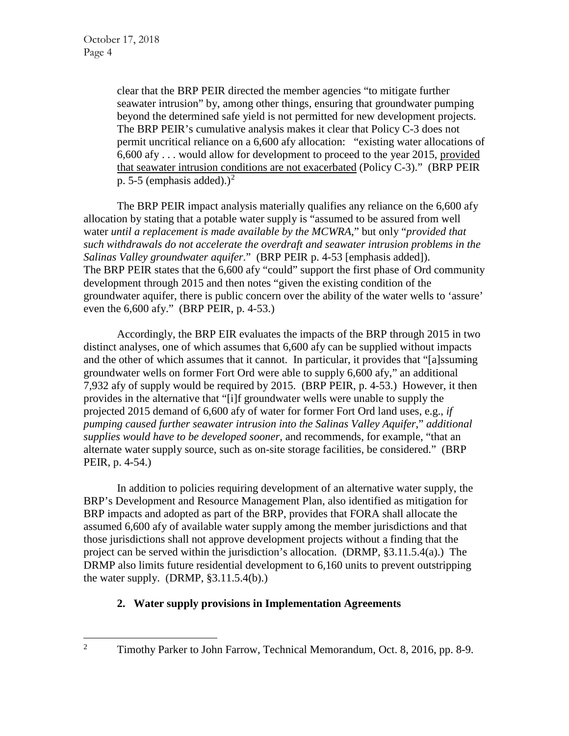clear that the BRP PEIR directed the member agencies "to mitigate further seawater intrusion" by, among other things, ensuring that groundwater pumping beyond the determined safe yield is not permitted for new development projects. The BRP PEIR's cumulative analysis makes it clear that Policy C-3 does not permit uncritical reliance on a 6,600 afy allocation: "existing water allocations of 6,600 afy . . . would allow for development to proceed to the year 2015, provided that seawater intrusion conditions are not exacerbated (Policy C-3)." (BRP PEIR p. 5-5 (emphasis added).)<sup>[2](#page-3-0)</sup>

The BRP PEIR impact analysis materially qualifies any reliance on the 6,600 afy allocation by stating that a potable water supply is "assumed to be assured from well water *until a replacement is made available by the MCWRA*," but only "*provided that such withdrawals do not accelerate the overdraft and seawater intrusion problems in the Salinas Valley groundwater aquifer*." (BRP PEIR p. 4-53 [emphasis added]). The BRP PEIR states that the 6,600 afy "could" support the first phase of Ord community development through 2015 and then notes "given the existing condition of the groundwater aquifer, there is public concern over the ability of the water wells to 'assure' even the 6,600 afy." (BRP PEIR, p. 4-53.)

Accordingly, the BRP EIR evaluates the impacts of the BRP through 2015 in two distinct analyses, one of which assumes that 6,600 afy can be supplied without impacts and the other of which assumes that it cannot. In particular, it provides that "[a]ssuming groundwater wells on former Fort Ord were able to supply 6,600 afy," an additional 7,932 afy of supply would be required by 2015. (BRP PEIR, p. 4-53.) However, it then provides in the alternative that "[i]f groundwater wells were unable to supply the projected 2015 demand of 6,600 afy of water for former Fort Ord land uses, e.g., *if pumping caused further seawater intrusion into the Salinas Valley Aquifer*," *additional supplies would have to be developed sooner,* and recommends, for example, "that an alternate water supply source, such as on-site storage facilities, be considered." (BRP PEIR, p. 4-54.)

In addition to policies requiring development of an alternative water supply, the BRP's Development and Resource Management Plan, also identified as mitigation for BRP impacts and adopted as part of the BRP, provides that FORA shall allocate the assumed 6,600 afy of available water supply among the member jurisdictions and that those jurisdictions shall not approve development projects without a finding that the project can be served within the jurisdiction's allocation. (DRMP, §3.11.5.4(a).) The DRMP also limits future residential development to 6,160 units to prevent outstripping the water supply.  $(DRMP, §3.11.5.4(b))$ .

# **2. Water supply provisions in Implementation Agreements**

<span id="page-3-0"></span><sup>&</sup>lt;sup>2</sup> Timothy Parker to John Farrow, Technical Memorandum, Oct. 8, 2016, pp. 8-9.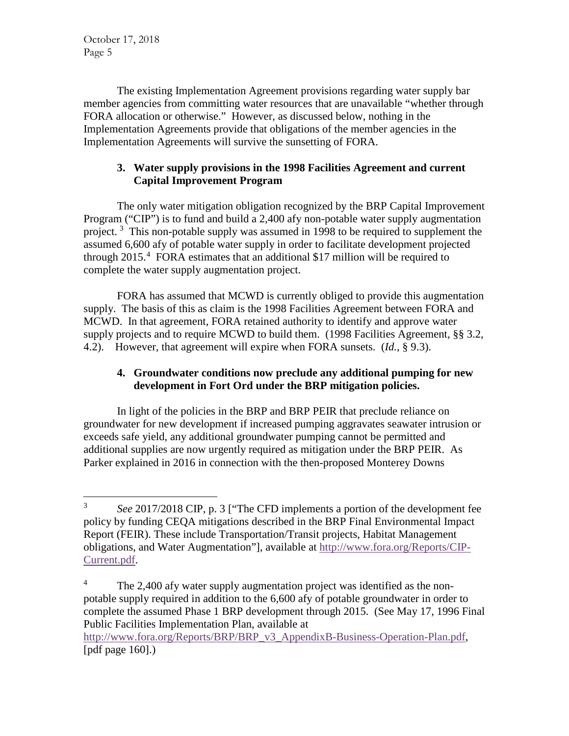The existing Implementation Agreement provisions regarding water supply bar member agencies from committing water resources that are unavailable "whether through FORA allocation or otherwise." However, as discussed below, nothing in the Implementation Agreements provide that obligations of the member agencies in the Implementation Agreements will survive the sunsetting of FORA.

## **3. Water supply provisions in the 1998 Facilities Agreement and current Capital Improvement Program**

The only water mitigation obligation recognized by the BRP Capital Improvement Program ("CIP") is to fund and build a 2,400 afy non-potable water supply augmentation project.<sup>[3](#page-4-0)</sup> This non-potable supply was assumed in 1998 to be required to supplement the assumed 6,600 afy of potable water supply in order to facilitate development projected through 2015.<sup>[4](#page-4-1)</sup> FORA estimates that an additional \$17 million will be required to complete the water supply augmentation project.

FORA has assumed that MCWD is currently obliged to provide this augmentation supply. The basis of this as claim is the 1998 Facilities Agreement between FORA and MCWD. In that agreement, FORA retained authority to identify and approve water supply projects and to require MCWD to build them. (1998 Facilities Agreement, §§ 3.2, 4.2). However, that agreement will expire when FORA sunsets. (*Id.*, § 9.3).

# **4. Groundwater conditions now preclude any additional pumping for new development in Fort Ord under the BRP mitigation policies.**

In light of the policies in the BRP and BRP PEIR that preclude reliance on groundwater for new development if increased pumping aggravates seawater intrusion or exceeds safe yield, any additional groundwater pumping cannot be permitted and additional supplies are now urgently required as mitigation under the BRP PEIR. As Parker explained in 2016 in connection with the then-proposed Monterey Downs

[http://www.fora.org/Reports/BRP/BRP\\_v3\\_AppendixB-Business-Operation-Plan.pdf,](http://www.fora.org/Reports/BRP/BRP_v3_AppendixB-Business-Operation-Plan.pdf) [pdf page 160].)

<span id="page-4-0"></span> <sup>3</sup> *See* 2017/2018 CIP, p. 3 ["The CFD implements a portion of the development fee policy by funding CEQA mitigations described in the BRP Final Environmental Impact Report (FEIR). These include Transportation/Transit projects, Habitat Management obligations, and Water Augmentation"], available at [http://www.fora.org/Reports/CIP-](http://www.fora.org/Reports/CIP-Current.pdf)[Current.pdf.](http://www.fora.org/Reports/CIP-Current.pdf)

<span id="page-4-1"></span><sup>&</sup>lt;sup>4</sup> The 2,400 afy water supply augmentation project was identified as the nonpotable supply required in addition to the 6,600 afy of potable groundwater in order to complete the assumed Phase 1 BRP development through 2015. (See May 17, 1996 Final Public Facilities Implementation Plan, available at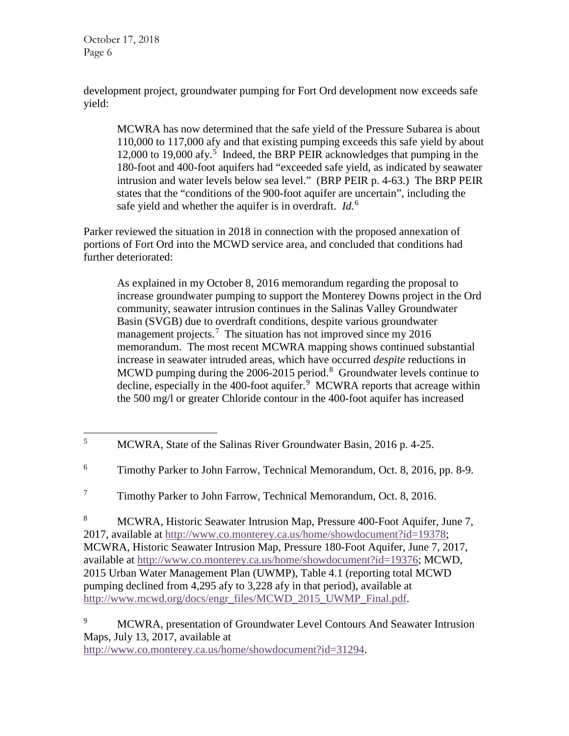development project, groundwater pumping for Fort Ord development now exceeds safe yield:

MCWRA has now determined that the safe yield of the Pressure Subarea is about 110,000 to 117,000 afy and that existing pumping exceeds this safe yield by about 12,000 to 19,000 afy.<sup>[5](#page-5-0)</sup> Indeed, the BRP PEIR acknowledges that pumping in the 180-foot and 400-foot aquifers had "exceeded safe yield, as indicated by seawater intrusion and water levels below sea level." (BRP PEIR p. 4-63.) The BRP PEIR states that the "conditions of the 900-foot aquifer are uncertain", including the safe yield and whether the aquifer is in overdraft. *Id.*[6](#page-5-1)

Parker reviewed the situation in 2018 in connection with the proposed annexation of portions of Fort Ord into the MCWD service area, and concluded that conditions had further deteriorated:

As explained in my October 8, 2016 memorandum regarding the proposal to increase groundwater pumping to support the Monterey Downs project in the Ord community, seawater intrusion continues in the Salinas Valley Groundwater Basin (SVGB) due to overdraft conditions, despite various groundwater management projects.<sup>[7](#page-5-2)</sup> The situation has not improved since my 2016 memorandum. The most recent MCWRA mapping shows continued substantial increase in seawater intruded areas, which have occurred *despite* reductions in MCWD pumping during the  $2006-2015$  period.<sup>[8](#page-5-3)</sup> Groundwater levels continue to decline, especially in the 400-foot aquifer.<sup>[9](#page-5-4)</sup> MCWRA reports that acreage within the 500 mg/l or greater Chloride contour in the 400-foot aquifer has increased

<span id="page-5-3"></span><sup>8</sup> MCWRA, Historic Seawater Intrusion Map, Pressure 400-Foot Aquifer, June 7, 2017, available at [http://www.co.monterey.ca.us/home/showdocument?id=19378;](http://www.co.monterey.ca.us/home/showdocument?id=19378) MCWRA, Historic Seawater Intrusion Map, Pressure 180-Foot Aquifer, June 7, 2017, available at [http://www.co.monterey.ca.us/home/showdocument?id=19376;](http://www.co.monterey.ca.us/home/showdocument?id=19376) MCWD, 2015 Urban Water Management Plan (UWMP), Table 4.1 (reporting total MCWD pumping declined from 4,295 afy to 3,228 afy in that period), available at [http://www.mcwd.org/docs/engr\\_files/MCWD\\_2015\\_UWMP\\_Final.pdf.](http://www.mcwd.org/docs/engr_files/MCWD_2015_UWMP_Final.pdf)

[http://www.co.monterey.ca.us/home/showdocument?id=31294.](http://www.co.monterey.ca.us/home/showdocument?id=31294)

<span id="page-5-0"></span><sup>&</sup>lt;sup>5</sup> MCWRA, State of the Salinas River Groundwater Basin, 2016 p. 4-25.

<span id="page-5-1"></span><sup>&</sup>lt;sup>6</sup> Timothy Parker to John Farrow, Technical Memorandum, Oct. 8, 2016, pp. 8-9.

<span id="page-5-2"></span><sup>&</sup>lt;sup>7</sup> Timothy Parker to John Farrow, Technical Memorandum, Oct. 8, 2016.

<span id="page-5-4"></span><sup>&</sup>lt;sup>9</sup> MCWRA, presentation of Groundwater Level Contours And Seawater Intrusion Maps, July 13, 2017, available at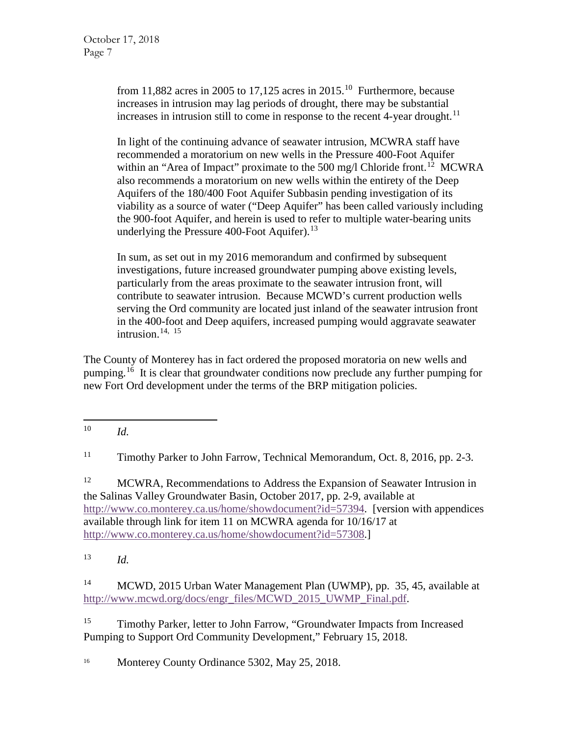from 11,882 acres in 2005 to 17,125 acres in 2015.<sup>[10](#page-6-0)</sup> Furthermore, because increases in intrusion may lag periods of drought, there may be substantial increases in intrusion still to come in response to the recent 4-year drought.<sup>[11](#page-6-1)</sup>

In light of the continuing advance of seawater intrusion, MCWRA staff have recommended a moratorium on new wells in the Pressure 400-Foot Aquifer within an "Area of Impact" proximate to the 500 mg/l Chloride front.<sup>[12](#page-6-2)</sup> MCWRA also recommends a moratorium on new wells within the entirety of the Deep Aquifers of the 180/400 Foot Aquifer Subbasin pending investigation of its viability as a source of water ("Deep Aquifer" has been called variously including the 900-foot Aquifer, and herein is used to refer to multiple water-bearing units underlying the Pressure  $400$ -Foot Aquifer).<sup>[13](#page-6-3)</sup>

In sum, as set out in my 2016 memorandum and confirmed by subsequent investigations, future increased groundwater pumping above existing levels, particularly from the areas proximate to the seawater intrusion front, will contribute to seawater intrusion. Because MCWD's current production wells serving the Ord community are located just inland of the seawater intrusion front in the 400-foot and Deep aquifers, increased pumping would aggravate seawater intrusion. [14](#page-6-4), [15](#page-6-5)

The County of Monterey has in fact ordered the proposed moratoria on new wells and pumping.<sup>[16](#page-6-6)</sup> It is clear that groundwater conditions now preclude any further pumping for new Fort Ord development under the terms of the BRP mitigation policies.

<span id="page-6-0"></span>10 *Id.*

<span id="page-6-1"></span><sup>11</sup> Timothy Parker to John Farrow, Technical Memorandum, Oct. 8, 2016, pp. 2-3.

<span id="page-6-2"></span><sup>12</sup> MCWRA, Recommendations to Address the Expansion of Seawater Intrusion in the Salinas Valley Groundwater Basin, October 2017, pp. 2-9, available at [http://www.co.monterey.ca.us/home/showdocument?id=57394.](http://www.co.monterey.ca.us/home/showdocument?id=57394) [version with appendices available through link for item 11 on MCWRA agenda for 10/16/17 at [http://www.co.monterey.ca.us/home/showdocument?id=57308.](http://www.co.monterey.ca.us/home/showdocument?id=57308)]

<span id="page-6-3"></span><sup>13</sup> *Id.*

<span id="page-6-4"></span><sup>14</sup> MCWD, 2015 Urban Water Management Plan (UWMP), pp. 35, 45, available at [http://www.mcwd.org/docs/engr\\_files/MCWD\\_2015\\_UWMP\\_Final.pdf.](http://www.mcwd.org/docs/engr_files/MCWD_2015_UWMP_Final.pdf)

<span id="page-6-5"></span><sup>15</sup> Timothy Parker, letter to John Farrow, "Groundwater Impacts from Increased Pumping to Support Ord Community Development," February 15, 2018.

<span id="page-6-6"></span><sup>16</sup> Monterey County Ordinance 5302, May 25, 2018.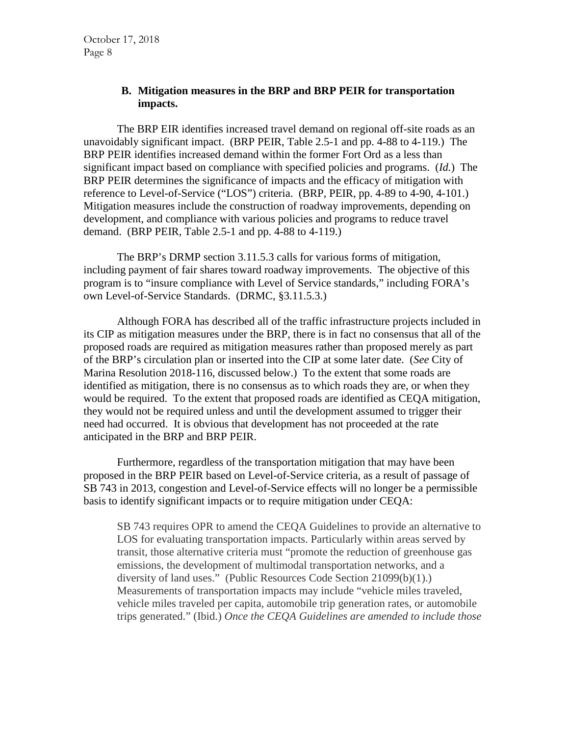#### **B. Mitigation measures in the BRP and BRP PEIR for transportation impacts.**

The BRP EIR identifies increased travel demand on regional off-site roads as an unavoidably significant impact. (BRP PEIR, Table 2.5-1 and pp. 4-88 to 4-119.) The BRP PEIR identifies increased demand within the former Fort Ord as a less than significant impact based on compliance with specified policies and programs. (*Id.*) The BRP PEIR determines the significance of impacts and the efficacy of mitigation with reference to Level-of-Service ("LOS") criteria. (BRP, PEIR, pp. 4-89 to 4-90, 4-101.) Mitigation measures include the construction of roadway improvements, depending on development, and compliance with various policies and programs to reduce travel demand. (BRP PEIR, Table 2.5-1 and pp. 4-88 to 4-119.)

The BRP's DRMP section 3.11.5.3 calls for various forms of mitigation, including payment of fair shares toward roadway improvements. The objective of this program is to "insure compliance with Level of Service standards," including FORA's own Level-of-Service Standards. (DRMC, §3.11.5.3.)

Although FORA has described all of the traffic infrastructure projects included in its CIP as mitigation measures under the BRP, there is in fact no consensus that all of the proposed roads are required as mitigation measures rather than proposed merely as part of the BRP's circulation plan or inserted into the CIP at some later date. (*See* City of Marina Resolution 2018-116, discussed below.) To the extent that some roads are identified as mitigation, there is no consensus as to which roads they are, or when they would be required. To the extent that proposed roads are identified as CEQA mitigation, they would not be required unless and until the development assumed to trigger their need had occurred. It is obvious that development has not proceeded at the rate anticipated in the BRP and BRP PEIR.

Furthermore, regardless of the transportation mitigation that may have been proposed in the BRP PEIR based on Level-of-Service criteria, as a result of passage of SB 743 in 2013, congestion and Level-of-Service effects will no longer be a permissible basis to identify significant impacts or to require mitigation under CEQA:

SB 743 requires OPR to amend the CEQA Guidelines to provide an alternative to LOS for evaluating transportation impacts. Particularly within areas served by transit, those alternative criteria must "promote the reduction of greenhouse gas emissions, the development of multimodal transportation networks, and a diversity of land uses." (Public Resources Code Section 21099(b)(1).) Measurements of transportation impacts may include "vehicle miles traveled, vehicle miles traveled per capita, automobile trip generation rates, or automobile trips generated." (Ibid.) *Once the CEQA Guidelines are amended to include those*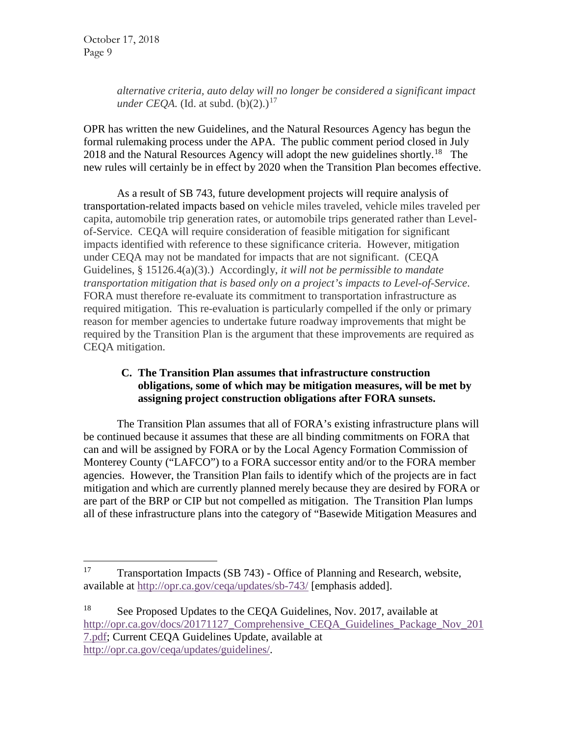*alternative criteria, auto delay will no longer be considered a significant impact under CEOA.* (Id. at subd.  $(b)(2)$ .)<sup>[17](#page-8-0)</sup>

OPR has written the new Guidelines, and the Natural Resources Agency has begun the formal rulemaking process under the APA. The public comment period closed in July 20[18](#page-8-1) and the Natural Resources Agency will adopt the new guidelines shortly.<sup>18</sup> The new rules will certainly be in effect by 2020 when the Transition Plan becomes effective.

As a result of SB 743, future development projects will require analysis of transportation-related impacts based on vehicle miles traveled, vehicle miles traveled per capita, automobile trip generation rates, or automobile trips generated rather than Levelof-Service. CEQA will require consideration of feasible mitigation for significant impacts identified with reference to these significance criteria. However, mitigation under CEQA may not be mandated for impacts that are not significant. (CEQA Guidelines, § 15126.4(a)(3).) Accordingly, *it will not be permissible to mandate transportation mitigation that is based only on a project's impacts to Level-of-Service*. FORA must therefore re-evaluate its commitment to transportation infrastructure as required mitigation. This re-evaluation is particularly compelled if the only or primary reason for member agencies to undertake future roadway improvements that might be required by the Transition Plan is the argument that these improvements are required as CEQA mitigation.

# **C. The Transition Plan assumes that infrastructure construction obligations, some of which may be mitigation measures, will be met by assigning project construction obligations after FORA sunsets.**

The Transition Plan assumes that all of FORA's existing infrastructure plans will be continued because it assumes that these are all binding commitments on FORA that can and will be assigned by FORA or by the Local Agency Formation Commission of Monterey County ("LAFCO") to a FORA successor entity and/or to the FORA member agencies. However, the Transition Plan fails to identify which of the projects are in fact mitigation and which are currently planned merely because they are desired by FORA or are part of the BRP or CIP but not compelled as mitigation. The Transition Plan lumps all of these infrastructure plans into the category of "Basewide Mitigation Measures and

<span id="page-8-0"></span><sup>&</sup>lt;sup>17</sup> Transportation Impacts (SB 743) - Office of Planning and Research, website, available at<http://opr.ca.gov/ceqa/updates/sb-743/> [emphasis added].

<span id="page-8-1"></span><sup>&</sup>lt;sup>18</sup> See Proposed Updates to the CEQA Guidelines, Nov. 2017, available at http://opr.ca.gov/docs/20171127 Comprehensive CEQA Guidelines Package Nov 201 [7.pdf;](http://opr.ca.gov/docs/20171127_Comprehensive_CEQA_Guidelines_Package_Nov_2017.pdf) Current CEQA Guidelines Update, available at [http://opr.ca.gov/ceqa/updates/guidelines/.](http://opr.ca.gov/ceqa/updates/guidelines/)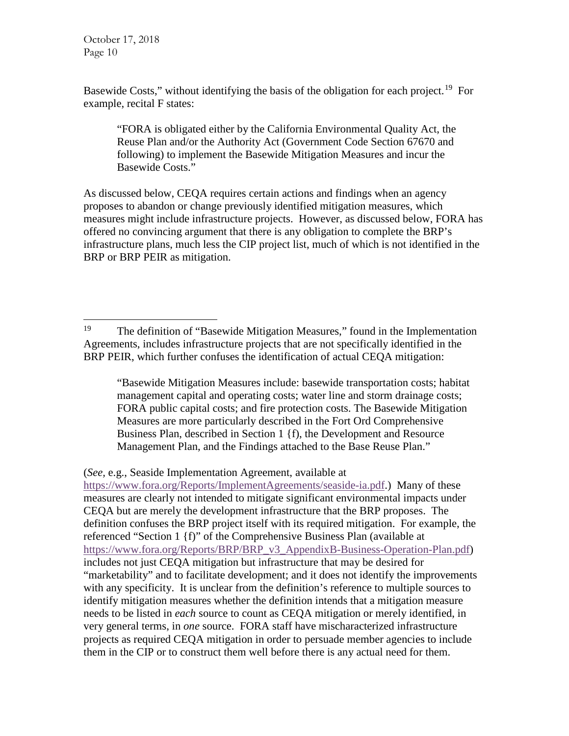Basewide Costs," without identifying the basis of the obligation for each project.<sup>19</sup> For example, recital F states:

"FORA is obligated either by the California Environmental Quality Act, the Reuse Plan and/or the Authority Act (Government Code Section 67670 and following) to implement the Basewide Mitigation Measures and incur the Basewide Costs."

As discussed below, CEQA requires certain actions and findings when an agency proposes to abandon or change previously identified mitigation measures, which measures might include infrastructure projects. However, as discussed below, FORA has offered no convincing argument that there is any obligation to complete the BRP's infrastructure plans, much less the CIP project list, much of which is not identified in the BRP or BRP PEIR as mitigation.

"Basewide Mitigation Measures include: basewide transportation costs; habitat management capital and operating costs; water line and storm drainage costs; FORA public capital costs; and fire protection costs. The Basewide Mitigation Measures are more particularly described in the Fort Ord Comprehensive Business Plan, described in Section 1 {f), the Development and Resource Management Plan, and the Findings attached to the Base Reuse Plan."

(*See,* e.g., Seaside Implementation Agreement, available at

[https://www.fora.org/Reports/ImplementAgreements/seaside-ia.pdf.](https://www.fora.org/Reports/ImplementAgreements/seaside-ia.pdf)) Many of these measures are clearly not intended to mitigate significant environmental impacts under CEQA but are merely the development infrastructure that the BRP proposes. The definition confuses the BRP project itself with its required mitigation. For example, the referenced "Section 1 {f)" of the Comprehensive Business Plan (available at [https://www.fora.org/Reports/BRP/BRP\\_v3\\_AppendixB-Business-Operation-Plan.pdf\)](https://www.fora.org/Reports/BRP/BRP_v3_AppendixB-Business-Operation-Plan.pdf) includes not just CEQA mitigation but infrastructure that may be desired for "marketability" and to facilitate development; and it does not identify the improvements with any specificity. It is unclear from the definition's reference to multiple sources to identify mitigation measures whether the definition intends that a mitigation measure needs to be listed in *each* source to count as CEQA mitigation or merely identified, in very general terms, in *one* source. FORA staff have mischaracterized infrastructure projects as required CEQA mitigation in order to persuade member agencies to include them in the CIP or to construct them well before there is any actual need for them.

<span id="page-9-0"></span><sup>&</sup>lt;sup>19</sup> The definition of "Basewide Mitigation Measures," found in the Implementation Agreements, includes infrastructure projects that are not specifically identified in the BRP PEIR, which further confuses the identification of actual CEQA mitigation: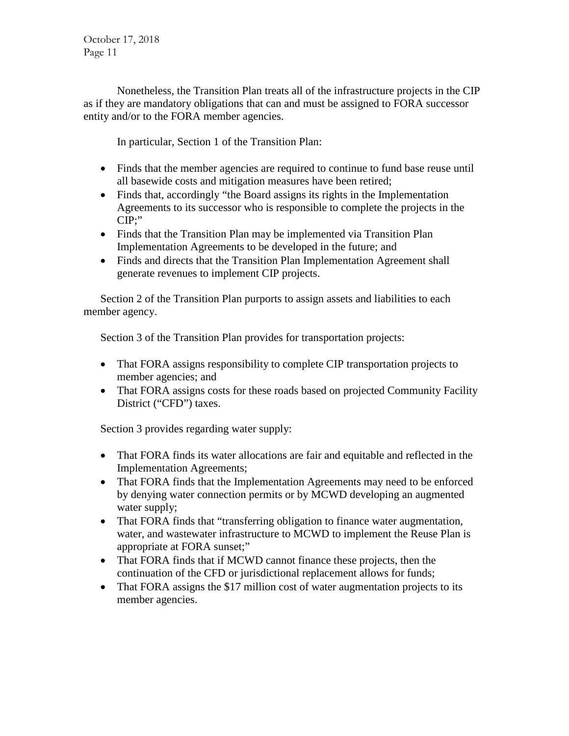Nonetheless, the Transition Plan treats all of the infrastructure projects in the CIP as if they are mandatory obligations that can and must be assigned to FORA successor entity and/or to the FORA member agencies.

In particular, Section 1 of the Transition Plan:

- Finds that the member agencies are required to continue to fund base reuse until all basewide costs and mitigation measures have been retired;
- Finds that, accordingly "the Board assigns its rights in the Implementation Agreements to its successor who is responsible to complete the projects in the CIP;"
- Finds that the Transition Plan may be implemented via Transition Plan Implementation Agreements to be developed in the future; and
- Finds and directs that the Transition Plan Implementation Agreement shall generate revenues to implement CIP projects.

Section 2 of the Transition Plan purports to assign assets and liabilities to each member agency.

Section 3 of the Transition Plan provides for transportation projects:

- That FORA assigns responsibility to complete CIP transportation projects to member agencies; and
- That FORA assigns costs for these roads based on projected Community Facility District ("CFD") taxes.

Section 3 provides regarding water supply:

- That FORA finds its water allocations are fair and equitable and reflected in the Implementation Agreements;
- That FORA finds that the Implementation Agreements may need to be enforced by denying water connection permits or by MCWD developing an augmented water supply;
- That FORA finds that "transferring obligation to finance water augmentation, water, and wastewater infrastructure to MCWD to implement the Reuse Plan is appropriate at FORA sunset;"
- That FORA finds that if MCWD cannot finance these projects, then the continuation of the CFD or jurisdictional replacement allows for funds;
- That FORA assigns the \$17 million cost of water augmentation projects to its member agencies.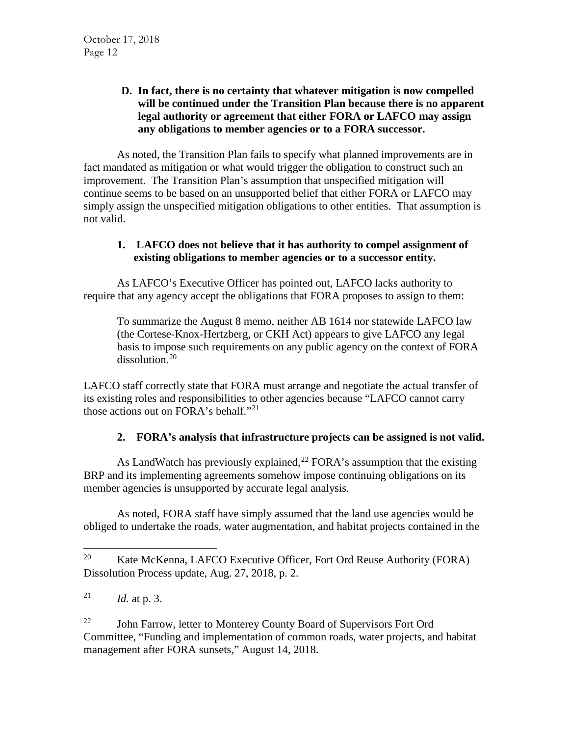# **D. In fact, there is no certainty that whatever mitigation is now compelled will be continued under the Transition Plan because there is no apparent legal authority or agreement that either FORA or LAFCO may assign any obligations to member agencies or to a FORA successor.**

As noted, the Transition Plan fails to specify what planned improvements are in fact mandated as mitigation or what would trigger the obligation to construct such an improvement. The Transition Plan's assumption that unspecified mitigation will continue seems to be based on an unsupported belief that either FORA or LAFCO may simply assign the unspecified mitigation obligations to other entities. That assumption is not valid.

# **1. LAFCO does not believe that it has authority to compel assignment of existing obligations to member agencies or to a successor entity.**

As LAFCO's Executive Officer has pointed out, LAFCO lacks authority to require that any agency accept the obligations that FORA proposes to assign to them:

To summarize the August 8 memo, neither AB 1614 nor statewide LAFCO law (the Cortese-Knox-Hertzberg, or CKH Act) appears to give LAFCO any legal basis to impose such requirements on any public agency on the context of FORA dissolution.<sup>[20](#page-11-0)</sup>

LAFCO staff correctly state that FORA must arrange and negotiate the actual transfer of its existing roles and responsibilities to other agencies because "LAFCO cannot carry those actions out on FORA's behalf."<sup>[21](#page-11-1)</sup>

# **2. FORA's analysis that infrastructure projects can be assigned is not valid.**

As LandWatch has previously explained,<sup>[22](#page-11-2)</sup> FORA's assumption that the existing BRP and its implementing agreements somehow impose continuing obligations on its member agencies is unsupported by accurate legal analysis.

As noted, FORA staff have simply assumed that the land use agencies would be obliged to undertake the roads, water augmentation, and habitat projects contained in the

<span id="page-11-2"></span> $22$  John Farrow, letter to Monterey County Board of Supervisors Fort Ord Committee, "Funding and implementation of common roads, water projects, and habitat management after FORA sunsets," August 14, 2018.

<span id="page-11-0"></span><sup>&</sup>lt;sup>20</sup> Kate McKenna, LAFCO Executive Officer, Fort Ord Reuse Authority (FORA) Dissolution Process update, Aug. 27, 2018, p. 2.

<span id="page-11-1"></span><sup>&</sup>lt;sup>21</sup> *Id.* at p. 3.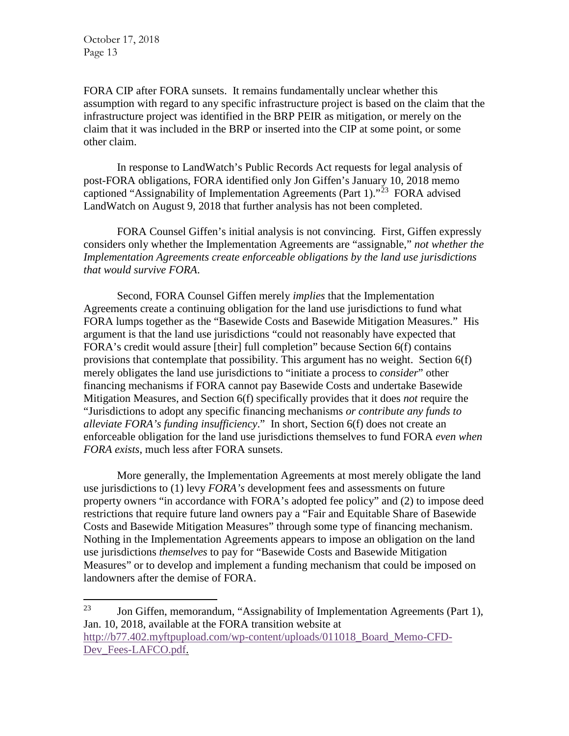FORA CIP after FORA sunsets. It remains fundamentally unclear whether this assumption with regard to any specific infrastructure project is based on the claim that the infrastructure project was identified in the BRP PEIR as mitigation, or merely on the claim that it was included in the BRP or inserted into the CIP at some point, or some other claim.

In response to LandWatch's Public Records Act requests for legal analysis of post-FORA obligations, FORA identified only Jon Giffen's January 10, 2018 memo captioned "Assignability of Implementation Agreements (Part 1)."<sup>[23](#page-12-0)</sup> FORA advised LandWatch on August 9, 2018 that further analysis has not been completed.

FORA Counsel Giffen's initial analysis is not convincing. First, Giffen expressly considers only whether the Implementation Agreements are "assignable," *not whether the Implementation Agreements create enforceable obligations by the land use jurisdictions that would survive FORA*.

Second, FORA Counsel Giffen merely *implies* that the Implementation Agreements create a continuing obligation for the land use jurisdictions to fund what FORA lumps together as the "Basewide Costs and Basewide Mitigation Measures." His argument is that the land use jurisdictions "could not reasonably have expected that FORA's credit would assure [their] full completion" because Section 6(f) contains provisions that contemplate that possibility. This argument has no weight. Section 6(f) merely obligates the land use jurisdictions to "initiate a process to *consider*" other financing mechanisms if FORA cannot pay Basewide Costs and undertake Basewide Mitigation Measures, and Section 6(f) specifically provides that it does *not* require the "Jurisdictions to adopt any specific financing mechanisms *or contribute any funds to alleviate FORA's funding insufficiency*." In short, Section 6(f) does not create an enforceable obligation for the land use jurisdictions themselves to fund FORA *even when FORA exists*, much less after FORA sunsets.

More generally, the Implementation Agreements at most merely obligate the land use jurisdictions to (1) levy *FORA's* development fees and assessments on future property owners "in accordance with FORA's adopted fee policy" and (2) to impose deed restrictions that require future land owners pay a "Fair and Equitable Share of Basewide Costs and Basewide Mitigation Measures" through some type of financing mechanism. Nothing in the Implementation Agreements appears to impose an obligation on the land use jurisdictions *themselves* to pay for "Basewide Costs and Basewide Mitigation Measures" or to develop and implement a funding mechanism that could be imposed on landowners after the demise of FORA.

<span id="page-12-0"></span><sup>&</sup>lt;sup>23</sup> Jon Giffen, memorandum, "Assignability of Implementation Agreements (Part 1), Jan. 10, 2018, available at the FORA transition website at [http://b77.402.myftpupload.com/wp-content/uploads/011018\\_Board\\_Memo-CFD-](http://b77.402.myftpupload.com/wp-content/uploads/011018_Board_Memo-CFD-Dev_Fees-LAFCO.pdf)[Dev\\_Fees-LAFCO.pdf.](http://b77.402.myftpupload.com/wp-content/uploads/011018_Board_Memo-CFD-Dev_Fees-LAFCO.pdf)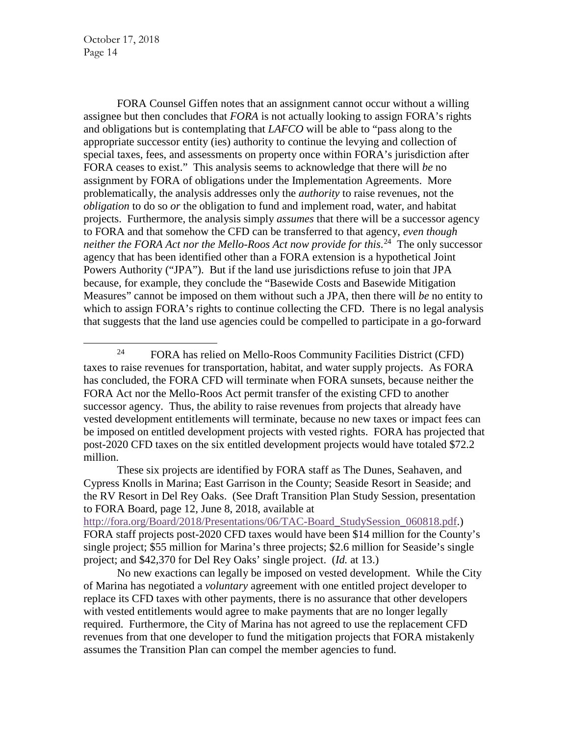FORA Counsel Giffen notes that an assignment cannot occur without a willing assignee but then concludes that *FORA* is not actually looking to assign FORA's rights and obligations but is contemplating that *LAFCO* will be able to "pass along to the appropriate successor entity (ies) authority to continue the levying and collection of special taxes, fees, and assessments on property once within FORA's jurisdiction after FORA ceases to exist." This analysis seems to acknowledge that there will *be* no assignment by FORA of obligations under the Implementation Agreements. More problematically, the analysis addresses only the *authority* to raise revenues, not the *obligation* to do so *or* the obligation to fund and implement road, water, and habitat projects. Furthermore, the analysis simply *assumes* that there will be a successor agency to FORA and that somehow the CFD can be transferred to that agency, *even though neither the FORA Act nor the Mello-Roos Act now provide for this*. [24](#page-13-0) The only successor agency that has been identified other than a FORA extension is a hypothetical Joint Powers Authority ("JPA"). But if the land use jurisdictions refuse to join that JPA because, for example, they conclude the "Basewide Costs and Basewide Mitigation Measures" cannot be imposed on them without such a JPA, then there will *be* no entity to which to assign FORA's rights to continue collecting the CFD. There is no legal analysis that suggests that the land use agencies could be compelled to participate in a go-forward

These six projects are identified by FORA staff as The Dunes, Seahaven, and Cypress Knolls in Marina; East Garrison in the County; Seaside Resort in Seaside; and the RV Resort in Del Rey Oaks. (See Draft Transition Plan Study Session, presentation to FORA Board, page 12, June 8, 2018, available at

[http://fora.org/Board/2018/Presentations/06/TAC-Board\\_StudySession\\_060818.pdf.](http://fora.org/Board/2018/Presentations/06/TAC-Board_StudySession_060818.pdf)) FORA staff projects post-2020 CFD taxes would have been \$14 million for the County's single project; \$55 million for Marina's three projects; \$2.6 million for Seaside's single project; and \$42,370 for Del Rey Oaks' single project. (*Id.* at 13.)

No new exactions can legally be imposed on vested development. While the City of Marina has negotiated a *voluntary* agreement with one entitled project developer to replace its CFD taxes with other payments, there is no assurance that other developers with vested entitlements would agree to make payments that are no longer legally required. Furthermore, the City of Marina has not agreed to use the replacement CFD revenues from that one developer to fund the mitigation projects that FORA mistakenly assumes the Transition Plan can compel the member agencies to fund.

<span id="page-13-0"></span> <sup>24</sup> FORA has relied on Mello-Roos Community Facilities District (CFD) taxes to raise revenues for transportation, habitat, and water supply projects. As FORA has concluded, the FORA CFD will terminate when FORA sunsets, because neither the FORA Act nor the Mello-Roos Act permit transfer of the existing CFD to another successor agency. Thus, the ability to raise revenues from projects that already have vested development entitlements will terminate, because no new taxes or impact fees can be imposed on entitled development projects with vested rights. FORA has projected that post-2020 CFD taxes on the six entitled development projects would have totaled \$72.2 million.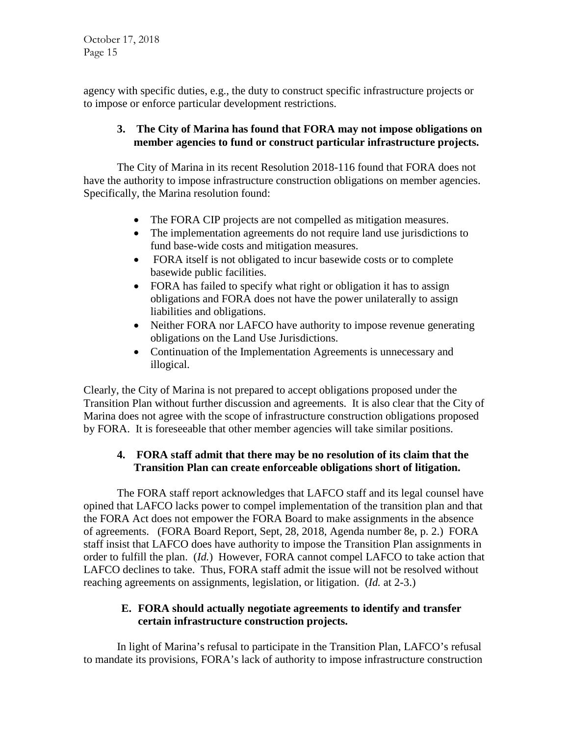agency with specific duties, e.g., the duty to construct specific infrastructure projects or to impose or enforce particular development restrictions.

#### **3. The City of Marina has found that FORA may not impose obligations on member agencies to fund or construct particular infrastructure projects.**

The City of Marina in its recent Resolution 2018-116 found that FORA does not have the authority to impose infrastructure construction obligations on member agencies. Specifically, the Marina resolution found:

- The FORA CIP projects are not compelled as mitigation measures.
- The implementation agreements do not require land use jurisdictions to fund base-wide costs and mitigation measures.
- FORA itself is not obligated to incur basewide costs or to complete basewide public facilities.
- FORA has failed to specify what right or obligation it has to assign obligations and FORA does not have the power unilaterally to assign liabilities and obligations.
- Neither FORA nor LAFCO have authority to impose revenue generating obligations on the Land Use Jurisdictions.
- Continuation of the Implementation Agreements is unnecessary and illogical.

Clearly, the City of Marina is not prepared to accept obligations proposed under the Transition Plan without further discussion and agreements. It is also clear that the City of Marina does not agree with the scope of infrastructure construction obligations proposed by FORA. It is foreseeable that other member agencies will take similar positions.

## **4. FORA staff admit that there may be no resolution of its claim that the Transition Plan can create enforceable obligations short of litigation.**

The FORA staff report acknowledges that LAFCO staff and its legal counsel have opined that LAFCO lacks power to compel implementation of the transition plan and that the FORA Act does not empower the FORA Board to make assignments in the absence of agreements. (FORA Board Report, Sept, 28, 2018, Agenda number 8e, p. 2.) FORA staff insist that LAFCO does have authority to impose the Transition Plan assignments in order to fulfill the plan. (*Id.*) However, FORA cannot compel LAFCO to take action that LAFCO declines to take. Thus, FORA staff admit the issue will not be resolved without reaching agreements on assignments, legislation, or litigation. (*Id.* at 2-3.)

# **E. FORA should actually negotiate agreements to identify and transfer certain infrastructure construction projects.**

In light of Marina's refusal to participate in the Transition Plan, LAFCO's refusal to mandate its provisions, FORA's lack of authority to impose infrastructure construction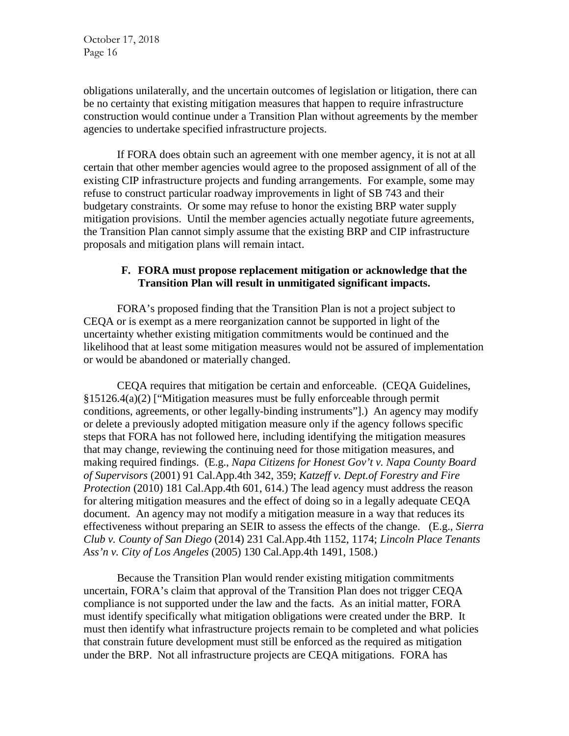obligations unilaterally, and the uncertain outcomes of legislation or litigation, there can be no certainty that existing mitigation measures that happen to require infrastructure construction would continue under a Transition Plan without agreements by the member agencies to undertake specified infrastructure projects.

If FORA does obtain such an agreement with one member agency, it is not at all certain that other member agencies would agree to the proposed assignment of all of the existing CIP infrastructure projects and funding arrangements. For example, some may refuse to construct particular roadway improvements in light of SB 743 and their budgetary constraints. Or some may refuse to honor the existing BRP water supply mitigation provisions. Until the member agencies actually negotiate future agreements, the Transition Plan cannot simply assume that the existing BRP and CIP infrastructure proposals and mitigation plans will remain intact.

#### **F. FORA must propose replacement mitigation or acknowledge that the Transition Plan will result in unmitigated significant impacts.**

FORA's proposed finding that the Transition Plan is not a project subject to CEQA or is exempt as a mere reorganization cannot be supported in light of the uncertainty whether existing mitigation commitments would be continued and the likelihood that at least some mitigation measures would not be assured of implementation or would be abandoned or materially changed.

CEQA requires that mitigation be certain and enforceable. (CEQA Guidelines, §15126.4(a)(2) ["Mitigation measures must be fully enforceable through permit conditions, agreements, or other legally-binding instruments"].) An agency may modify or delete a previously adopted mitigation measure only if the agency follows specific steps that FORA has not followed here, including identifying the mitigation measures that may change, reviewing the continuing need for those mitigation measures, and making required findings. (E.g., *Napa Citizens for Honest Gov't v. Napa County Board of Supervisors* (2001) 91 Cal.App.4th 342, 359; *Katzeff v. Dept.of Forestry and Fire Protection* (2010) 181 Cal.App.4th 601, 614.) The lead agency must address the reason for altering mitigation measures and the effect of doing so in a legally adequate CEQA document. An agency may not modify a mitigation measure in a way that reduces its effectiveness without preparing an SEIR to assess the effects of the change. (E.g., *Sierra Club v. County of San Diego* (2014) 231 Cal.App.4th 1152, 1174; *Lincoln Place Tenants Ass'n v. City of Los Angeles* (2005) 130 Cal.App.4th 1491, 1508.)

Because the Transition Plan would render existing mitigation commitments uncertain, FORA's claim that approval of the Transition Plan does not trigger CEQA compliance is not supported under the law and the facts. As an initial matter, FORA must identify specifically what mitigation obligations were created under the BRP. It must then identify what infrastructure projects remain to be completed and what policies that constrain future development must still be enforced as the required as mitigation under the BRP. Not all infrastructure projects are CEQA mitigations. FORA has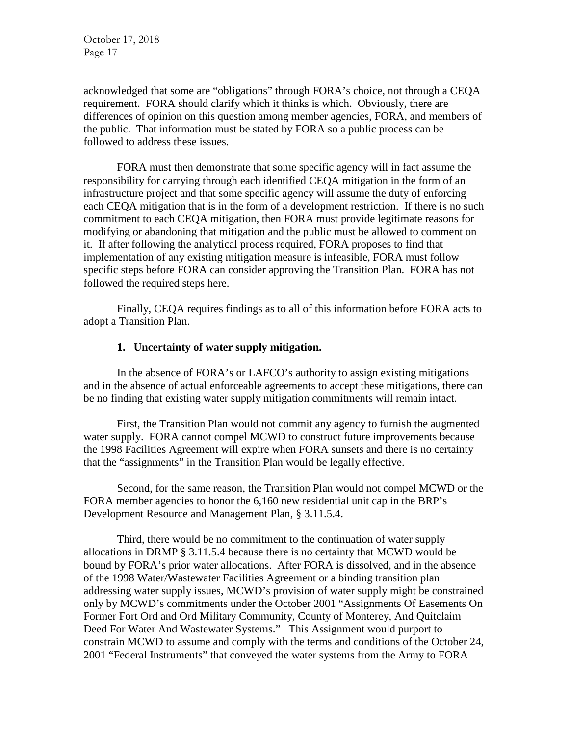acknowledged that some are "obligations" through FORA's choice, not through a CEQA requirement. FORA should clarify which it thinks is which. Obviously, there are differences of opinion on this question among member agencies, FORA, and members of the public. That information must be stated by FORA so a public process can be followed to address these issues.

FORA must then demonstrate that some specific agency will in fact assume the responsibility for carrying through each identified CEQA mitigation in the form of an infrastructure project and that some specific agency will assume the duty of enforcing each CEQA mitigation that is in the form of a development restriction. If there is no such commitment to each CEQA mitigation, then FORA must provide legitimate reasons for modifying or abandoning that mitigation and the public must be allowed to comment on it. If after following the analytical process required, FORA proposes to find that implementation of any existing mitigation measure is infeasible, FORA must follow specific steps before FORA can consider approving the Transition Plan. FORA has not followed the required steps here.

Finally, CEQA requires findings as to all of this information before FORA acts to adopt a Transition Plan.

#### **1. Uncertainty of water supply mitigation.**

In the absence of FORA's or LAFCO's authority to assign existing mitigations and in the absence of actual enforceable agreements to accept these mitigations, there can be no finding that existing water supply mitigation commitments will remain intact.

First, the Transition Plan would not commit any agency to furnish the augmented water supply. FORA cannot compel MCWD to construct future improvements because the 1998 Facilities Agreement will expire when FORA sunsets and there is no certainty that the "assignments" in the Transition Plan would be legally effective.

Second, for the same reason, the Transition Plan would not compel MCWD or the FORA member agencies to honor the 6,160 new residential unit cap in the BRP's Development Resource and Management Plan, § 3.11.5.4.

Third, there would be no commitment to the continuation of water supply allocations in DRMP § 3.11.5.4 because there is no certainty that MCWD would be bound by FORA's prior water allocations. After FORA is dissolved, and in the absence of the 1998 Water/Wastewater Facilities Agreement or a binding transition plan addressing water supply issues, MCWD's provision of water supply might be constrained only by MCWD's commitments under the October 2001 "Assignments Of Easements On Former Fort Ord and Ord Military Community, County of Monterey, And Quitclaim Deed For Water And Wastewater Systems." This Assignment would purport to constrain MCWD to assume and comply with the terms and conditions of the October 24, 2001 "Federal Instruments" that conveyed the water systems from the Army to FORA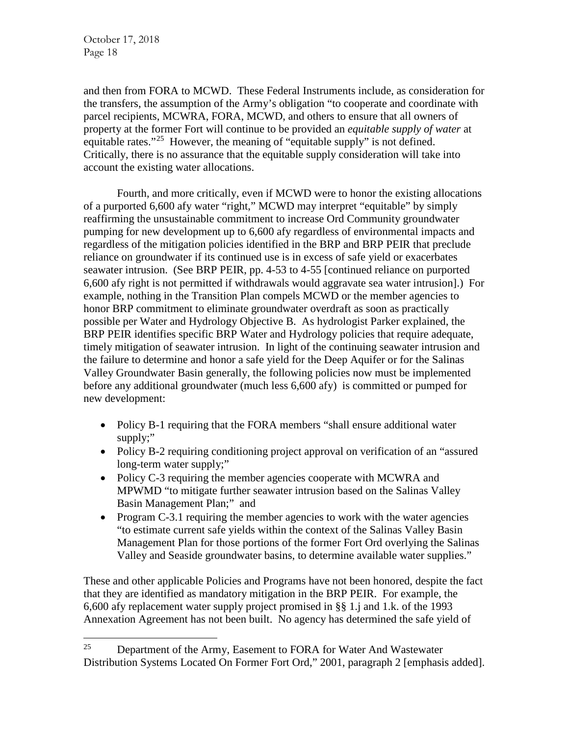and then from FORA to MCWD. These Federal Instruments include, as consideration for the transfers, the assumption of the Army's obligation "to cooperate and coordinate with parcel recipients, MCWRA, FORA, MCWD, and others to ensure that all owners of property at the former Fort will continue to be provided an *equitable supply of water* at equitable rates."<sup>25</sup> However, the meaning of "equitable supply" is not defined. Critically, there is no assurance that the equitable supply consideration will take into account the existing water allocations.

Fourth, and more critically, even if MCWD were to honor the existing allocations of a purported 6,600 afy water "right," MCWD may interpret "equitable" by simply reaffirming the unsustainable commitment to increase Ord Community groundwater pumping for new development up to 6,600 afy regardless of environmental impacts and regardless of the mitigation policies identified in the BRP and BRP PEIR that preclude reliance on groundwater if its continued use is in excess of safe yield or exacerbates seawater intrusion. (See BRP PEIR, pp. 4-53 to 4-55 [continued reliance on purported 6,600 afy right is not permitted if withdrawals would aggravate sea water intrusion].) For example, nothing in the Transition Plan compels MCWD or the member agencies to honor BRP commitment to eliminate groundwater overdraft as soon as practically possible per Water and Hydrology Objective B. As hydrologist Parker explained, the BRP PEIR identifies specific BRP Water and Hydrology policies that require adequate, timely mitigation of seawater intrusion. In light of the continuing seawater intrusion and the failure to determine and honor a safe yield for the Deep Aquifer or for the Salinas Valley Groundwater Basin generally, the following policies now must be implemented before any additional groundwater (much less 6,600 afy) is committed or pumped for new development:

- Policy B-1 requiring that the FORA members "shall ensure additional water supply;"
- Policy B-2 requiring conditioning project approval on verification of an "assured" long-term water supply;"
- Policy C-3 requiring the member agencies cooperate with MCWRA and MPWMD "to mitigate further seawater intrusion based on the Salinas Valley Basin Management Plan;" and
- Program C-3.1 requiring the member agencies to work with the water agencies "to estimate current safe yields within the context of the Salinas Valley Basin Management Plan for those portions of the former Fort Ord overlying the Salinas Valley and Seaside groundwater basins, to determine available water supplies."

These and other applicable Policies and Programs have not been honored, despite the fact that they are identified as mandatory mitigation in the BRP PEIR. For example, the 6,600 afy replacement water supply project promised in §§ 1.j and 1.k. of the 1993 Annexation Agreement has not been built. No agency has determined the safe yield of

<span id="page-17-0"></span> $25$  Department of the Army, Easement to FORA for Water And Wastewater Distribution Systems Located On Former Fort Ord," 2001, paragraph 2 [emphasis added].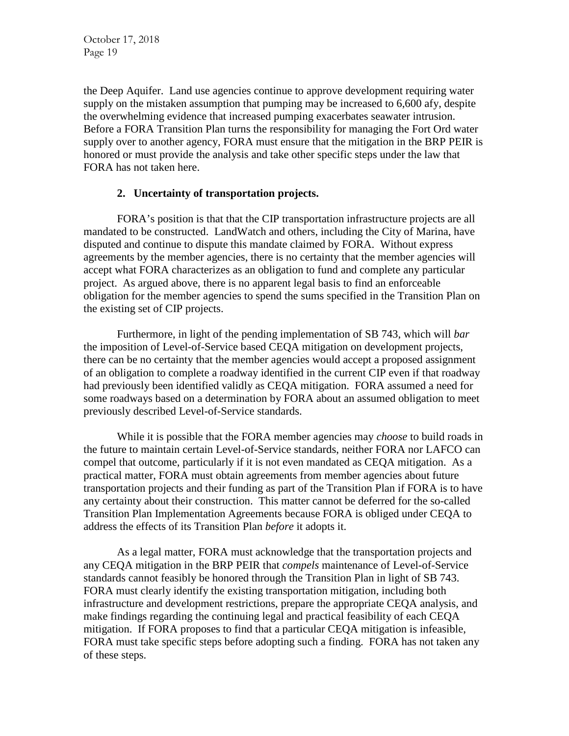the Deep Aquifer. Land use agencies continue to approve development requiring water supply on the mistaken assumption that pumping may be increased to 6,600 afy, despite the overwhelming evidence that increased pumping exacerbates seawater intrusion. Before a FORA Transition Plan turns the responsibility for managing the Fort Ord water supply over to another agency, FORA must ensure that the mitigation in the BRP PEIR is honored or must provide the analysis and take other specific steps under the law that FORA has not taken here.

#### **2. Uncertainty of transportation projects.**

FORA's position is that that the CIP transportation infrastructure projects are all mandated to be constructed. LandWatch and others, including the City of Marina, have disputed and continue to dispute this mandate claimed by FORA. Without express agreements by the member agencies, there is no certainty that the member agencies will accept what FORA characterizes as an obligation to fund and complete any particular project. As argued above, there is no apparent legal basis to find an enforceable obligation for the member agencies to spend the sums specified in the Transition Plan on the existing set of CIP projects.

Furthermore, in light of the pending implementation of SB 743, which will *bar* the imposition of Level-of-Service based CEQA mitigation on development projects, there can be no certainty that the member agencies would accept a proposed assignment of an obligation to complete a roadway identified in the current CIP even if that roadway had previously been identified validly as CEQA mitigation. FORA assumed a need for some roadways based on a determination by FORA about an assumed obligation to meet previously described Level-of-Service standards.

While it is possible that the FORA member agencies may *choose* to build roads in the future to maintain certain Level-of-Service standards, neither FORA nor LAFCO can compel that outcome, particularly if it is not even mandated as CEQA mitigation. As a practical matter, FORA must obtain agreements from member agencies about future transportation projects and their funding as part of the Transition Plan if FORA is to have any certainty about their construction. This matter cannot be deferred for the so-called Transition Plan Implementation Agreements because FORA is obliged under CEQA to address the effects of its Transition Plan *before* it adopts it.

As a legal matter, FORA must acknowledge that the transportation projects and any CEQA mitigation in the BRP PEIR that *compels* maintenance of Level-of-Service standards cannot feasibly be honored through the Transition Plan in light of SB 743. FORA must clearly identify the existing transportation mitigation, including both infrastructure and development restrictions, prepare the appropriate CEQA analysis, and make findings regarding the continuing legal and practical feasibility of each CEQA mitigation. If FORA proposes to find that a particular CEQA mitigation is infeasible, FORA must take specific steps before adopting such a finding. FORA has not taken any of these steps.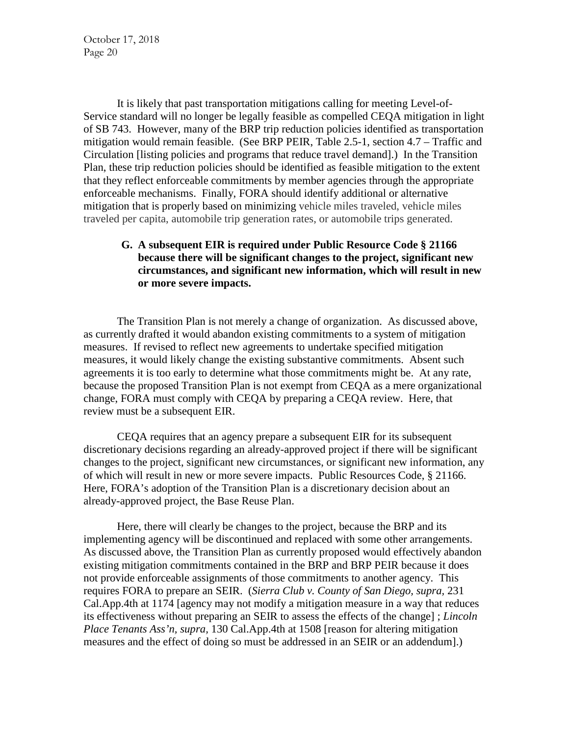It is likely that past transportation mitigations calling for meeting Level-of-Service standard will no longer be legally feasible as compelled CEQA mitigation in light of SB 743. However, many of the BRP trip reduction policies identified as transportation mitigation would remain feasible. (See BRP PEIR, Table 2.5-1, section 4.7 – Traffic and Circulation [listing policies and programs that reduce travel demand].) In the Transition Plan, these trip reduction policies should be identified as feasible mitigation to the extent that they reflect enforceable commitments by member agencies through the appropriate enforceable mechanisms. Finally, FORA should identify additional or alternative mitigation that is properly based on minimizing vehicle miles traveled, vehicle miles traveled per capita, automobile trip generation rates, or automobile trips generated.

## **G. A subsequent EIR is required under Public Resource Code § 21166 because there will be significant changes to the project, significant new circumstances, and significant new information, which will result in new or more severe impacts.**

The Transition Plan is not merely a change of organization. As discussed above, as currently drafted it would abandon existing commitments to a system of mitigation measures. If revised to reflect new agreements to undertake specified mitigation measures, it would likely change the existing substantive commitments. Absent such agreements it is too early to determine what those commitments might be. At any rate, because the proposed Transition Plan is not exempt from CEQA as a mere organizational change, FORA must comply with CEQA by preparing a CEQA review. Here, that review must be a subsequent EIR.

CEQA requires that an agency prepare a subsequent EIR for its subsequent discretionary decisions regarding an already-approved project if there will be significant changes to the project, significant new circumstances, or significant new information, any of which will result in new or more severe impacts. Public Resources Code, § 21166. Here, FORA's adoption of the Transition Plan is a discretionary decision about an already-approved project, the Base Reuse Plan.

Here, there will clearly be changes to the project, because the BRP and its implementing agency will be discontinued and replaced with some other arrangements. As discussed above, the Transition Plan as currently proposed would effectively abandon existing mitigation commitments contained in the BRP and BRP PEIR because it does not provide enforceable assignments of those commitments to another agency. This requires FORA to prepare an SEIR. (*Sierra Club v. County of San Diego, supra,* 231 Cal.App.4th at 1174 [agency may not modify a mitigation measure in a way that reduces its effectiveness without preparing an SEIR to assess the effects of the change] ; *Lincoln Place Tenants Ass'n, supra,* 130 Cal.App.4th at 1508 [reason for altering mitigation measures and the effect of doing so must be addressed in an SEIR or an addendum].)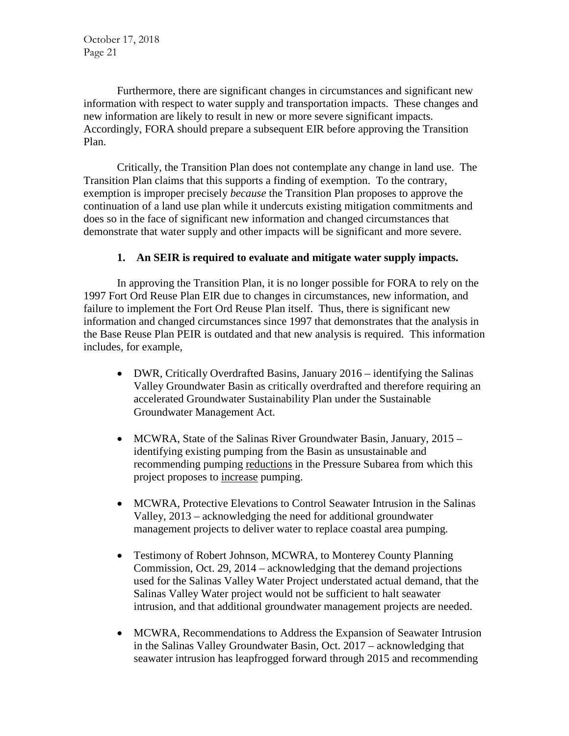Furthermore, there are significant changes in circumstances and significant new information with respect to water supply and transportation impacts. These changes and new information are likely to result in new or more severe significant impacts. Accordingly, FORA should prepare a subsequent EIR before approving the Transition Plan.

Critically, the Transition Plan does not contemplate any change in land use. The Transition Plan claims that this supports a finding of exemption. To the contrary, exemption is improper precisely *because* the Transition Plan proposes to approve the continuation of a land use plan while it undercuts existing mitigation commitments and does so in the face of significant new information and changed circumstances that demonstrate that water supply and other impacts will be significant and more severe.

## **1. An SEIR is required to evaluate and mitigate water supply impacts.**

In approving the Transition Plan, it is no longer possible for FORA to rely on the 1997 Fort Ord Reuse Plan EIR due to changes in circumstances, new information, and failure to implement the Fort Ord Reuse Plan itself. Thus, there is significant new information and changed circumstances since 1997 that demonstrates that the analysis in the Base Reuse Plan PEIR is outdated and that new analysis is required. This information includes, for example,

- DWR, Critically Overdrafted Basins, January 2016 identifying the Salinas Valley Groundwater Basin as critically overdrafted and therefore requiring an accelerated Groundwater Sustainability Plan under the Sustainable Groundwater Management Act.
- MCWRA, State of the Salinas River Groundwater Basin, January, 2015 identifying existing pumping from the Basin as unsustainable and recommending pumping reductions in the Pressure Subarea from which this project proposes to increase pumping.
- MCWRA, Protective Elevations to Control Seawater Intrusion in the Salinas Valley, 2013 – acknowledging the need for additional groundwater management projects to deliver water to replace coastal area pumping.
- Testimony of Robert Johnson, MCWRA, to Monterey County Planning Commission, Oct. 29, 2014 – acknowledging that the demand projections used for the Salinas Valley Water Project understated actual demand, that the Salinas Valley Water project would not be sufficient to halt seawater intrusion, and that additional groundwater management projects are needed.
- MCWRA, Recommendations to Address the Expansion of Seawater Intrusion in the Salinas Valley Groundwater Basin, Oct. 2017 – acknowledging that seawater intrusion has leapfrogged forward through 2015 and recommending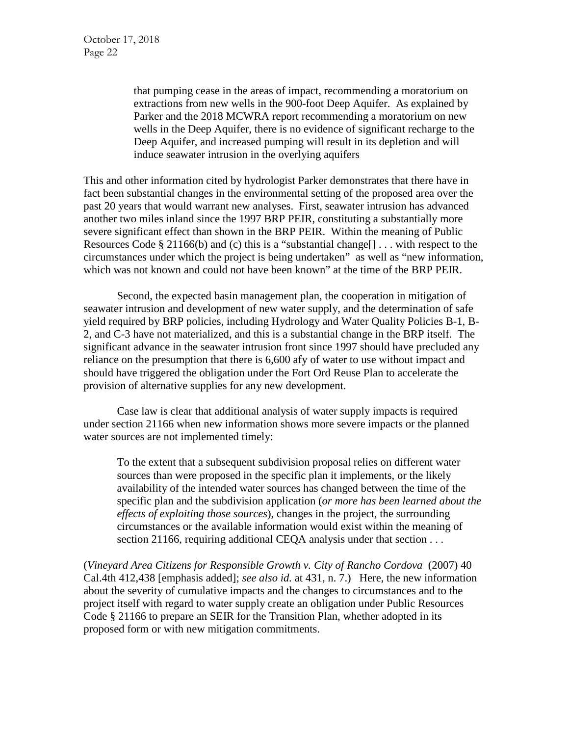that pumping cease in the areas of impact, recommending a moratorium on extractions from new wells in the 900-foot Deep Aquifer. As explained by Parker and the 2018 MCWRA report recommending a moratorium on new wells in the Deep Aquifer, there is no evidence of significant recharge to the Deep Aquifer, and increased pumping will result in its depletion and will induce seawater intrusion in the overlying aquifers

This and other information cited by hydrologist Parker demonstrates that there have in fact been substantial changes in the environmental setting of the proposed area over the past 20 years that would warrant new analyses. First, seawater intrusion has advanced another two miles inland since the 1997 BRP PEIR, constituting a substantially more severe significant effect than shown in the BRP PEIR. Within the meaning of Public Resources Code § 21166(b) and (c) this is a "substantial change[] . . . with respect to the circumstances under which the project is being undertaken" as well as "new information, which was not known and could not have been known" at the time of the BRP PEIR.

Second, the expected basin management plan, the cooperation in mitigation of seawater intrusion and development of new water supply, and the determination of safe yield required by BRP policies, including Hydrology and Water Quality Policies B-1, B-2, and C-3 have not materialized, and this is a substantial change in the BRP itself. The significant advance in the seawater intrusion front since 1997 should have precluded any reliance on the presumption that there is 6,600 afy of water to use without impact and should have triggered the obligation under the Fort Ord Reuse Plan to accelerate the provision of alternative supplies for any new development.

Case law is clear that additional analysis of water supply impacts is required under section 21166 when new information shows more severe impacts or the planned water sources are not implemented timely:

To the extent that a subsequent subdivision proposal relies on different water sources than were proposed in the specific plan it implements, or the likely availability of the intended water sources has changed between the time of the specific plan and the subdivision application (*or more has been learned about the effects of exploiting those sources*), changes in the project, the surrounding circumstances or the available information would exist within the meaning of section 21166, requiring additional CEQA analysis under that section . . .

(*Vineyard Area Citizens for Responsible Growth v. City of Rancho Cordova* (2007) 40 Cal.4th 412,438 [emphasis added]; *see also id.* at 431, n. 7.) Here, the new information about the severity of cumulative impacts and the changes to circumstances and to the project itself with regard to water supply create an obligation under Public Resources Code § 21166 to prepare an SEIR for the Transition Plan, whether adopted in its proposed form or with new mitigation commitments.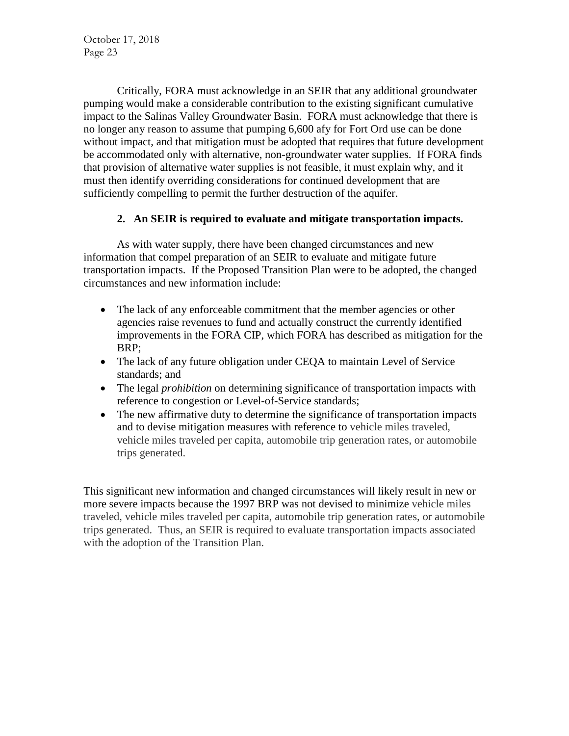Critically, FORA must acknowledge in an SEIR that any additional groundwater pumping would make a considerable contribution to the existing significant cumulative impact to the Salinas Valley Groundwater Basin. FORA must acknowledge that there is no longer any reason to assume that pumping 6,600 afy for Fort Ord use can be done without impact, and that mitigation must be adopted that requires that future development be accommodated only with alternative, non-groundwater water supplies. If FORA finds that provision of alternative water supplies is not feasible, it must explain why, and it must then identify overriding considerations for continued development that are sufficiently compelling to permit the further destruction of the aquifer.

# **2. An SEIR is required to evaluate and mitigate transportation impacts.**

As with water supply, there have been changed circumstances and new information that compel preparation of an SEIR to evaluate and mitigate future transportation impacts. If the Proposed Transition Plan were to be adopted, the changed circumstances and new information include:

- The lack of any enforceable commitment that the member agencies or other agencies raise revenues to fund and actually construct the currently identified improvements in the FORA CIP, which FORA has described as mitigation for the BRP;
- The lack of any future obligation under CEQA to maintain Level of Service standards; and
- The legal *prohibition* on determining significance of transportation impacts with reference to congestion or Level-of-Service standards;
- The new affirmative duty to determine the significance of transportation impacts and to devise mitigation measures with reference to vehicle miles traveled, vehicle miles traveled per capita, automobile trip generation rates, or automobile trips generated.

This significant new information and changed circumstances will likely result in new or more severe impacts because the 1997 BRP was not devised to minimize vehicle miles traveled, vehicle miles traveled per capita, automobile trip generation rates, or automobile trips generated. Thus, an SEIR is required to evaluate transportation impacts associated with the adoption of the Transition Plan.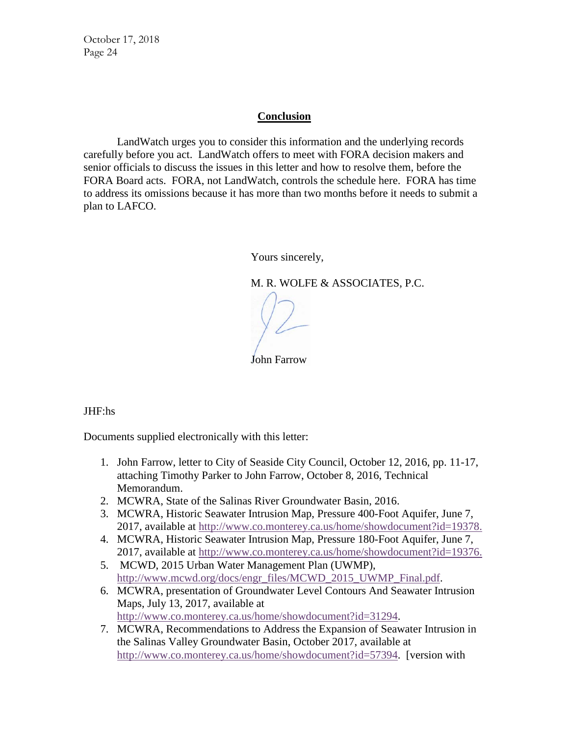#### **Conclusion**

LandWatch urges you to consider this information and the underlying records carefully before you act. LandWatch offers to meet with FORA decision makers and senior officials to discuss the issues in this letter and how to resolve them, before the FORA Board acts. FORA, not LandWatch, controls the schedule here. FORA has time to address its omissions because it has more than two months before it needs to submit a plan to LAFCO.

Yours sincerely,

M. R. WOLFE & ASSOCIATES, P.C.

John Farrow

JHF:hs

Documents supplied electronically with this letter:

- 1. John Farrow, letter to City of Seaside City Council, October 12, 2016, pp. 11-17, attaching Timothy Parker to John Farrow, October 8, 2016, Technical Memorandum.
- 2. MCWRA, State of the Salinas River Groundwater Basin, 2016.
- 3. MCWRA, Historic Seawater Intrusion Map, Pressure 400-Foot Aquifer, June 7, 2017, available at [http://www.co.monterey.ca.us/home/showdocument?id=19378.](http://www.co.monterey.ca.us/home/showdocument?id=19378)
- 4. MCWRA, Historic Seawater Intrusion Map, Pressure 180-Foot Aquifer, June 7, 2017, available at [http://www.co.monterey.ca.us/home/showdocument?id=19376.](http://www.co.monterey.ca.us/home/showdocument?id=19376)
- 5. MCWD, 2015 Urban Water Management Plan (UWMP), [http://www.mcwd.org/docs/engr\\_files/MCWD\\_2015\\_UWMP\\_Final.pdf.](http://www.mcwd.org/docs/engr_files/MCWD_2015_UWMP_Final.pdf)
- 6. MCWRA, presentation of Groundwater Level Contours And Seawater Intrusion Maps, July 13, 2017, available at [http://www.co.monterey.ca.us/home/showdocument?id=31294.](http://www.co.monterey.ca.us/home/showdocument?id=31294)
- 7. MCWRA, Recommendations to Address the Expansion of Seawater Intrusion in the Salinas Valley Groundwater Basin, October 2017, available at [http://www.co.monterey.ca.us/home/showdocument?id=57394.](http://www.co.monterey.ca.us/home/showdocument?id=57394) [version with